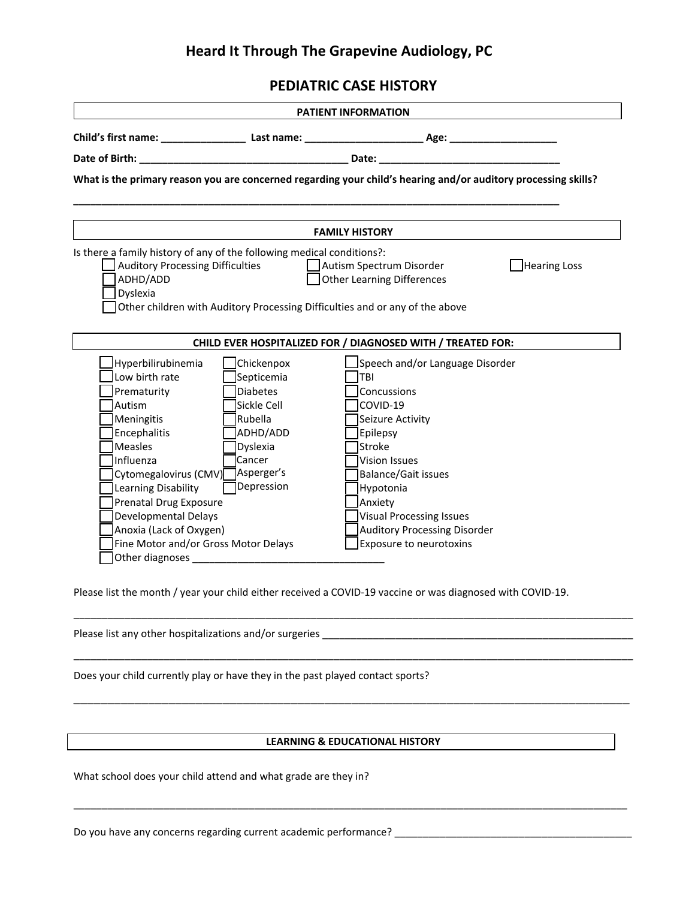### **Heard It Through The Grapevine Audiology, PC**

**PEDIATRIC CASE HISTORY**

| <b>PATIENT INFORMATION</b>                                                                                     |                                                                                                                                                                                                                                |                                                                                                                                                               |  |  |
|----------------------------------------------------------------------------------------------------------------|--------------------------------------------------------------------------------------------------------------------------------------------------------------------------------------------------------------------------------|---------------------------------------------------------------------------------------------------------------------------------------------------------------|--|--|
|                                                                                                                |                                                                                                                                                                                                                                |                                                                                                                                                               |  |  |
|                                                                                                                |                                                                                                                                                                                                                                |                                                                                                                                                               |  |  |
| What is the primary reason you are concerned regarding your child's hearing and/or auditory processing skills? |                                                                                                                                                                                                                                |                                                                                                                                                               |  |  |
|                                                                                                                |                                                                                                                                                                                                                                |                                                                                                                                                               |  |  |
|                                                                                                                |                                                                                                                                                                                                                                | <b>FAMILY HISTORY</b>                                                                                                                                         |  |  |
| Auditory Processing Difficulties<br>ADHD/ADD<br>Dyslexia                                                       |                                                                                                                                                                                                                                | Autism Spectrum Disorder<br>Hearing Loss<br><b>Other Learning Differences</b><br>Other children with Auditory Processing Difficulties and or any of the above |  |  |
|                                                                                                                |                                                                                                                                                                                                                                | CHILD EVER HOSPITALIZED FOR / DIAGNOSED WITH / TREATED FOR:                                                                                                   |  |  |
| Hyperbilirubinemia                                                                                             | Chickenpox                                                                                                                                                                                                                     | Speech and/or Language Disorder                                                                                                                               |  |  |
| Low birth rate                                                                                                 | Septicemia                                                                                                                                                                                                                     | <b>TBI</b>                                                                                                                                                    |  |  |
| Prematurity                                                                                                    | Diabetes                                                                                                                                                                                                                       | Concussions                                                                                                                                                   |  |  |
| Autism                                                                                                         | Sickle Cell                                                                                                                                                                                                                    | COVID-19                                                                                                                                                      |  |  |
| Meningitis                                                                                                     | Rubella                                                                                                                                                                                                                        | Seizure Activity                                                                                                                                              |  |  |
| Encephalitis                                                                                                   | ADHD/ADD                                                                                                                                                                                                                       | Epilepsy                                                                                                                                                      |  |  |
| Measles                                                                                                        | Dyslexia                                                                                                                                                                                                                       | Stroke                                                                                                                                                        |  |  |
| Influenza                                                                                                      | <b>l</b> Cancer                                                                                                                                                                                                                | <b>Vision Issues</b>                                                                                                                                          |  |  |
| Cytomegalovirus (CMV) Asperger's                                                                               |                                                                                                                                                                                                                                | <b>Balance/Gait issues</b>                                                                                                                                    |  |  |
| Learning Disability                                                                                            | Depression                                                                                                                                                                                                                     | Hypotonia                                                                                                                                                     |  |  |
| <b>Prenatal Drug Exposure</b>                                                                                  |                                                                                                                                                                                                                                | Anxiety                                                                                                                                                       |  |  |
| <b>Developmental Delays</b>                                                                                    |                                                                                                                                                                                                                                | <b>Visual Processing Issues</b>                                                                                                                               |  |  |
| Anoxia (Lack of Oxygen)                                                                                        |                                                                                                                                                                                                                                | <b>Auditory Processing Disorder</b>                                                                                                                           |  |  |
| Fine Motor and/or Gross Motor Delays                                                                           |                                                                                                                                                                                                                                | Exposure to neurotoxins                                                                                                                                       |  |  |
|                                                                                                                | Other diagnoses and the control of the control of the control of the control of the control of the control of the control of the control of the control of the control of the control of the control of the control of the con |                                                                                                                                                               |  |  |

Please list the month / year your child either received a COVID-19 vaccine or was diagnosed with COVID-19.

Please list any other hospitalizations and/or surgeries \_\_\_\_\_\_\_\_\_\_\_\_\_\_\_\_\_\_\_\_\_\_\_\_\_

Does your child currently play or have they in the past played contact sports?

#### **LEARNING & EDUCATIONAL HISTORY**

\_\_\_\_\_\_\_\_\_\_\_\_\_\_\_\_\_\_\_\_\_\_\_\_\_\_\_\_\_\_\_\_\_\_\_\_\_\_\_\_\_\_\_\_\_\_\_\_\_\_\_\_\_\_\_\_\_\_\_\_\_\_\_\_\_\_\_\_\_\_\_\_\_\_\_\_\_\_\_\_\_\_\_\_\_\_\_\_\_\_\_\_\_\_\_\_\_\_

\_\_\_\_\_\_\_\_\_\_\_\_\_\_\_\_\_\_\_\_\_\_\_\_\_\_\_\_\_\_\_\_\_\_\_\_\_\_\_\_\_\_\_\_\_\_\_\_\_\_\_\_\_\_\_\_\_\_\_\_\_\_\_\_\_\_\_\_\_\_\_\_\_\_\_\_\_\_\_\_\_\_\_\_\_\_\_\_\_\_\_\_\_\_\_\_\_\_\_

\_\_\_\_\_\_\_\_\_\_\_\_\_\_\_\_\_\_\_\_\_\_\_\_\_\_\_\_\_\_\_\_\_\_\_\_\_\_\_\_\_\_\_\_\_\_\_\_\_\_\_\_\_\_\_\_\_\_\_\_\_\_\_\_\_\_\_\_\_\_\_\_\_\_\_\_\_\_\_\_\_\_\_\_\_\_\_\_\_\_\_\_\_\_\_\_\_\_\_

\_\_\_\_\_\_\_\_\_\_\_\_\_\_\_\_\_\_\_\_\_\_\_\_\_\_\_\_\_\_\_\_\_\_\_\_\_\_\_\_\_\_\_\_\_\_\_\_\_\_\_\_\_\_\_\_\_\_\_\_\_\_\_\_\_\_\_\_\_\_\_\_\_\_\_\_\_\_\_\_\_\_

What school does your child attend and what grade are they in?

Do you have any concerns regarding current academic performance? \_\_\_\_\_\_\_\_\_\_\_\_\_\_\_\_\_\_\_\_\_\_\_\_\_\_\_\_\_\_\_\_\_\_\_\_\_\_\_\_\_\_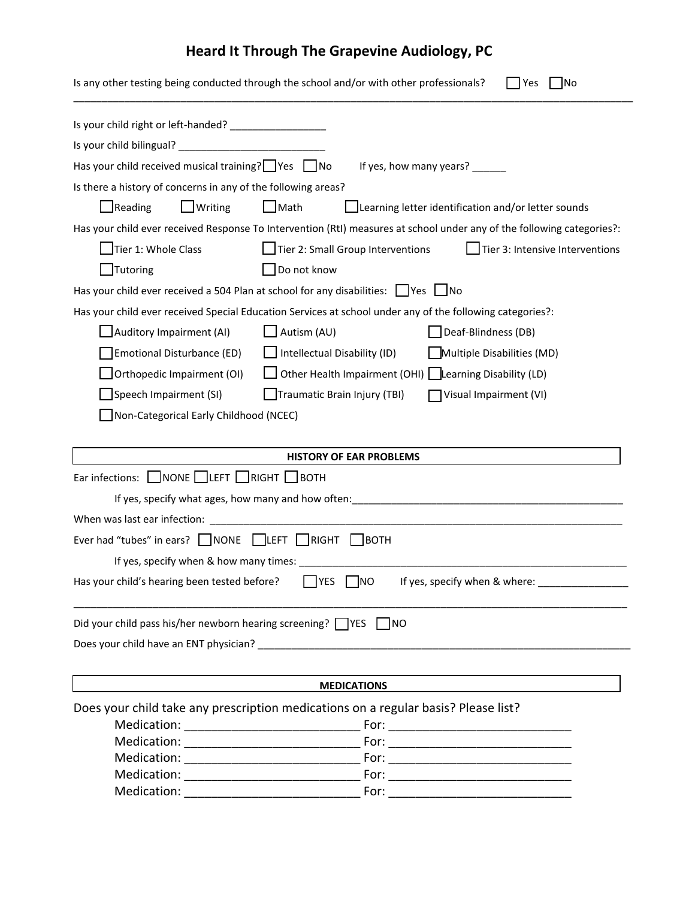# **Heard It Through The Grapevine Audiology, PC**

|                                                                             | Is any other testing being conducted through the school and/or with other professionals?<br><b>INo</b><br>Yes          |
|-----------------------------------------------------------------------------|------------------------------------------------------------------------------------------------------------------------|
| Is your child right or left-handed? ____________________                    |                                                                                                                        |
|                                                                             |                                                                                                                        |
| Has your child received musical training? Ves No                            | If yes, how many years? _______                                                                                        |
| Is there a history of concerns in any of the following areas?               |                                                                                                                        |
| $\Box$ Reading<br>$\Box$ Writing                                            | $\Box$ Math<br>Learning letter identification and/or letter sounds                                                     |
|                                                                             | Has your child ever received Response To Intervention (RtI) measures at school under any of the following categories?: |
| Tier 1: Whole Class                                                         | Tier 2: Small Group Interventions<br>Tier 3: Intensive Interventions                                                   |
| Tutoring                                                                    | Do not know                                                                                                            |
|                                                                             | Has your child ever received a 504 Plan at school for any disabilities: $\Box$ Yes $\Box$ No                           |
|                                                                             |                                                                                                                        |
|                                                                             | Has your child ever received Special Education Services at school under any of the following categories?:              |
| Auditory Impairment (AI)                                                    | $\Box$ Autism (AU)<br>Deaf-Blindness (DB)                                                                              |
| Emotional Disturbance (ED)                                                  | $\Box$ Intellectual Disability (ID)<br>Multiple Disabilities (MD)                                                      |
| Orthopedic Impairment (OI)                                                  | Other Health Impairment (OHI) Learning Disability (LD)                                                                 |
| Speech Impairment (SI)                                                      | Traumatic Brain Injury (TBI)<br>Visual Impairment (VI)                                                                 |
| Non-Categorical Early Childhood (NCEC)                                      |                                                                                                                        |
|                                                                             |                                                                                                                        |
|                                                                             | <b>HISTORY OF EAR PROBLEMS</b>                                                                                         |
| Ear infections: $\Box$ NONE $\Box$ LEFT $\Box$ RIGHT $\Box$ BOTH            |                                                                                                                        |
|                                                                             |                                                                                                                        |
|                                                                             |                                                                                                                        |
| Ever had "tubes" in ears? $\Box$ NONE $\Box$ LEFT $\Box$ RIGHT $\Box$ BOTH  |                                                                                                                        |
| If yes, specify when & how many times:                                      |                                                                                                                        |
|                                                                             | Has your child's hearing been tested before? $\Box$ YES $\Box$ NO If yes, specify when & where:                        |
|                                                                             |                                                                                                                        |
| Did your child pass his/her newborn hearing screening? $\Box$ YES $\Box$ NO |                                                                                                                        |
|                                                                             |                                                                                                                        |
|                                                                             |                                                                                                                        |
|                                                                             |                                                                                                                        |
|                                                                             | <b>MEDICATIONS</b>                                                                                                     |
|                                                                             | Does your child take any prescription medications on a regular basis? Please list?                                     |
|                                                                             |                                                                                                                        |
|                                                                             |                                                                                                                        |
|                                                                             |                                                                                                                        |
|                                                                             |                                                                                                                        |
|                                                                             |                                                                                                                        |